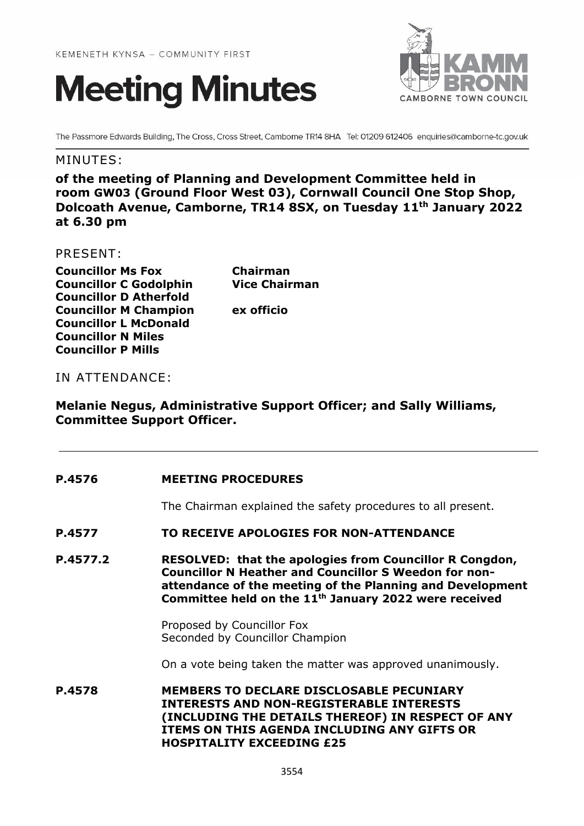



The Passmore Edwards Building, The Cross, Cross Street, Camborne TR14 8HA Tel: 01209 612406 enquiries@camborne-tc.gov.uk

# MINUTES:

**of the meeting of Planning and Development Committee held in room GW03 (Ground Floor West 03), Cornwall Council One Stop Shop, Dolcoath Avenue, Camborne, TR14 8SX, on Tuesday 11th January 2022 at 6.30 pm**

## PRESENT:

| <b>Councillor Ms Fox</b>  |                               |
|---------------------------|-------------------------------|
|                           | <b>Councillor C Godolphin</b> |
|                           | <b>Councillor D Atherfold</b> |
|                           | <b>Councillor M Champion</b>  |
|                           | <b>Councillor L McDonald</b>  |
| <b>Councillor N Miles</b> |                               |
| <b>Councillor P Mills</b> |                               |

**Chairman Vice Chairman ex officio** 

## IN ATTENDANCE:

# **Melanie Negus, Administrative Support Officer; and Sally Williams, Committee Support Officer.**

## **P.4576 MEETING PROCEDURES**

The Chairman explained the safety procedures to all present.

**P.4577 TO RECEIVE APOLOGIES FOR NON-ATTENDANCE**

**P.4577.2 RESOLVED: that the apologies from Councillor R Congdon, Councillor N Heather and Councillor S Weedon for nonattendance of the meeting of the Planning and Development Committee held on the 11th January 2022 were received**

> Proposed by Councillor Fox Seconded by Councillor Champion

On a vote being taken the matter was approved unanimously.

**P.4578 MEMBERS TO DECLARE DISCLOSABLE PECUNIARY INTERESTS AND NON-REGISTERABLE INTERESTS (INCLUDING THE DETAILS THEREOF) IN RESPECT OF ANY ITEMS ON THIS AGENDA INCLUDING ANY GIFTS OR HOSPITALITY EXCEEDING £25**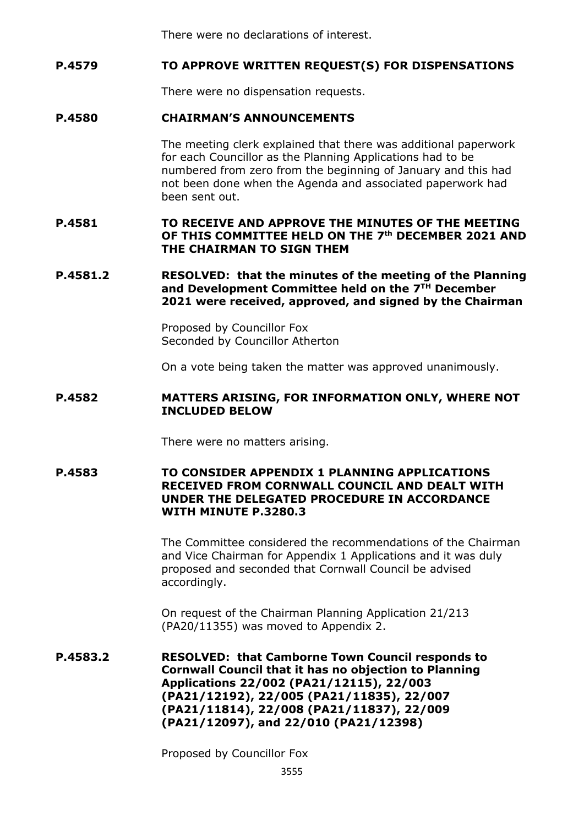There were no declarations of interest.

# **P.4579 TO APPROVE WRITTEN REQUEST(S) FOR DISPENSATIONS**

There were no dispensation requests.

# **P.4580 CHAIRMAN'S ANNOUNCEMENTS**

The meeting clerk explained that there was additional paperwork for each Councillor as the Planning Applications had to be numbered from zero from the beginning of January and this had not been done when the Agenda and associated paperwork had been sent out.

# **P.4581 TO RECEIVE AND APPROVE THE MINUTES OF THE MEETING OF THIS COMMITTEE HELD ON THE 7 th DECEMBER 2021 AND THE CHAIRMAN TO SIGN THEM**

## **P.4581.2 RESOLVED: that the minutes of the meeting of the Planning and Development Committee held on the 7 TH December 2021 were received, approved, and signed by the Chairman**

Proposed by Councillor Fox Seconded by Councillor Atherton

On a vote being taken the matter was approved unanimously.

#### **P.4582 MATTERS ARISING, FOR INFORMATION ONLY, WHERE NOT INCLUDED BELOW**

There were no matters arising.

## **P.4583 TO CONSIDER APPENDIX 1 PLANNING APPLICATIONS RECEIVED FROM CORNWALL COUNCIL AND DEALT WITH UNDER THE DELEGATED PROCEDURE IN ACCORDANCE WITH MINUTE P.3280.3**

The Committee considered the recommendations of the Chairman and Vice Chairman for Appendix 1 Applications and it was duly proposed and seconded that Cornwall Council be advised accordingly.

On request of the Chairman Planning Application 21/213 (PA20/11355) was moved to Appendix 2.

**P.4583.2 RESOLVED: that Camborne Town Council responds to Cornwall Council that it has no objection to Planning Applications 22/002 (PA21/12115), 22/003 (PA21/12192), 22/005 (PA21/11835), 22/007 (PA21/11814), 22/008 (PA21/11837), 22/009 (PA21/12097), and 22/010 (PA21/12398)**

Proposed by Councillor Fox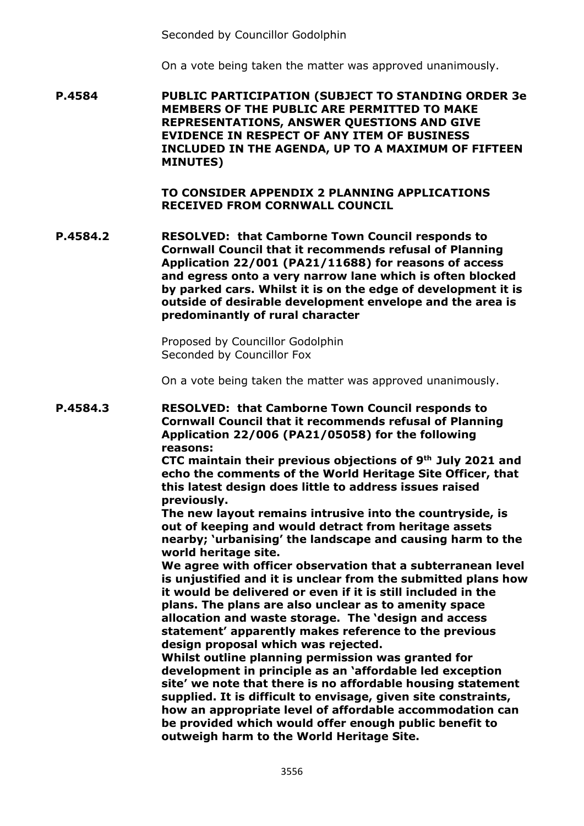Seconded by Councillor Godolphin

On a vote being taken the matter was approved unanimously.

**P.4584 PUBLIC PARTICIPATION (SUBJECT TO STANDING ORDER 3e MEMBERS OF THE PUBLIC ARE PERMITTED TO MAKE REPRESENTATIONS, ANSWER QUESTIONS AND GIVE EVIDENCE IN RESPECT OF ANY ITEM OF BUSINESS INCLUDED IN THE AGENDA, UP TO A MAXIMUM OF FIFTEEN MINUTES)**

> **TO CONSIDER APPENDIX 2 PLANNING APPLICATIONS RECEIVED FROM CORNWALL COUNCIL**

**P.4584.2 RESOLVED: that Camborne Town Council responds to Cornwall Council that it recommends refusal of Planning Application 22/001 (PA21/11688) for reasons of access and egress onto a very narrow lane which is often blocked by parked cars. Whilst it is on the edge of development it is outside of desirable development envelope and the area is predominantly of rural character**

> Proposed by Councillor Godolphin Seconded by Councillor Fox

On a vote being taken the matter was approved unanimously.

**P.4584.3 RESOLVED: that Camborne Town Council responds to Cornwall Council that it recommends refusal of Planning Application 22/006 (PA21/05058) for the following reasons:**

**CTC maintain their previous objections of 9th July 2021 and echo the comments of the World Heritage Site Officer, that this latest design does little to address issues raised previously.**

**The new layout remains intrusive into the countryside, is out of keeping and would detract from heritage assets nearby; 'urbanising' the landscape and causing harm to the world heritage site.**

**We agree with officer observation that a subterranean level is unjustified and it is unclear from the submitted plans how it would be delivered or even if it is still included in the plans. The plans are also unclear as to amenity space allocation and waste storage. The 'design and access statement' apparently makes reference to the previous design proposal which was rejected.**

**Whilst outline planning permission was granted for development in principle as an 'affordable led exception site' we note that there is no affordable housing statement supplied. It is difficult to envisage, given site constraints, how an appropriate level of affordable accommodation can be provided which would offer enough public benefit to outweigh harm to the World Heritage Site.**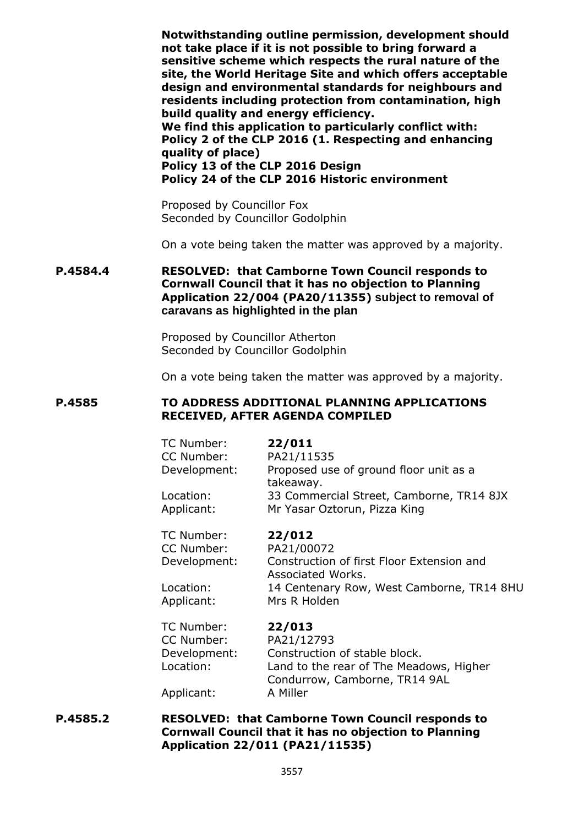**Notwithstanding outline permission, development should not take place if it is not possible to bring forward a sensitive scheme which respects the rural nature of the site, the World Heritage Site and which offers acceptable design and environmental standards for neighbours and residents including protection from contamination, high build quality and energy efficiency.**

**We find this application to particularly conflict with: Policy 2 of the CLP 2016 (1. Respecting and enhancing quality of place) Policy 13 of the CLP 2016 Design Policy 24 of the CLP 2016 Historic environment**

Proposed by Councillor Fox Seconded by Councillor Godolphin

On a vote being taken the matter was approved by a majority.

# **P.4584.4 RESOLVED: that Camborne Town Council responds to Cornwall Council that it has no objection to Planning Application 22/004 (PA20/11355) subject to removal of caravans as highlighted in the plan**

Proposed by Councillor Atherton Seconded by Councillor Godolphin

On a vote being taken the matter was approved by a majority.

#### **P.4585 TO ADDRESS ADDITIONAL PLANNING APPLICATIONS RECEIVED, AFTER AGENDA COMPILED**

| TC Number:   | 22/011                                              |
|--------------|-----------------------------------------------------|
| CC Number:   | PA21/11535                                          |
| Development: | Proposed use of ground floor unit as a<br>takeaway. |
| Location:    | 33 Commercial Street, Camborne, TR14 8JX            |
| Applicant:   | Mr Yasar Oztorun, Pizza King                        |

TC Number: **22/012**  CC Number: PA21/00072

Development: Construction of first Floor Extension and Associated Works. Location: 14 Centenary Row, West Camborne, TR14 8HU Applicant: Mrs R Holden

| TC Number:   | 22/013                                  |
|--------------|-----------------------------------------|
| CC Number:   | PA21/12793                              |
| Development: | Construction of stable block.           |
| Location:    | Land to the rear of The Meadows, Higher |
|              | Condurrow, Camborne, TR14 9AL           |
| Applicant:   | A Miller                                |

**P.4585.2 RESOLVED: that Camborne Town Council responds to Cornwall Council that it has no objection to Planning Application 22/011 (PA21/11535)**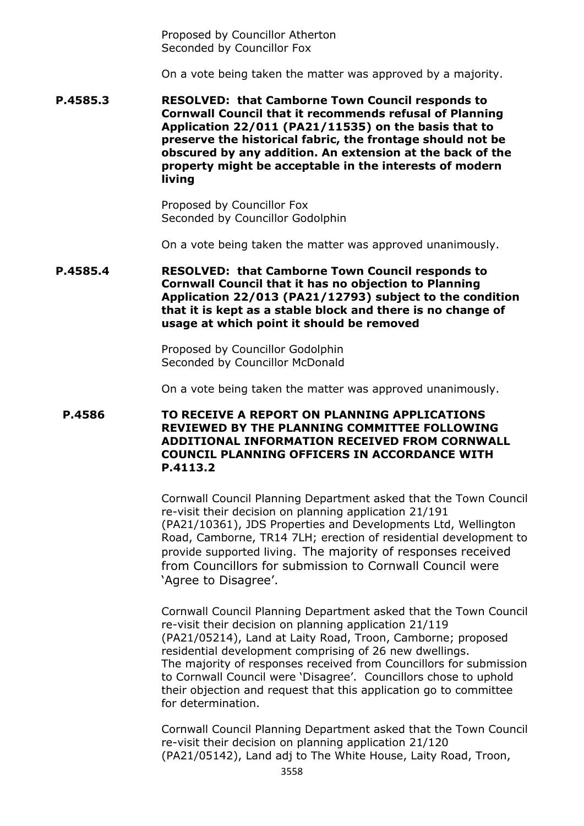Proposed by Councillor Atherton Seconded by Councillor Fox

On a vote being taken the matter was approved by a majority.

**P.4585.3 RESOLVED: that Camborne Town Council responds to Cornwall Council that it recommends refusal of Planning Application 22/011 (PA21/11535) on the basis that to preserve the historical fabric, the frontage should not be obscured by any addition. An extension at the back of the property might be acceptable in the interests of modern living**

> Proposed by Councillor Fox Seconded by Councillor Godolphin

On a vote being taken the matter was approved unanimously.

**P.4585.4 RESOLVED: that Camborne Town Council responds to Cornwall Council that it has no objection to Planning Application 22/013 (PA21/12793) subject to the condition that it is kept as a stable block and there is no change of usage at which point it should be removed**

> Proposed by Councillor Godolphin Seconded by Councillor McDonald

On a vote being taken the matter was approved unanimously.

**P.4586 TO RECEIVE A REPORT ON PLANNING APPLICATIONS REVIEWED BY THE PLANNING COMMITTEE FOLLOWING ADDITIONAL INFORMATION RECEIVED FROM CORNWALL COUNCIL PLANNING OFFICERS IN ACCORDANCE WITH P.4113.2**

> Cornwall Council Planning Department asked that the Town Council re-visit their decision on planning application 21/191 (PA21/10361), JDS Properties and Developments Ltd, Wellington Road, Camborne, TR14 7LH; erection of residential development to provide supported living. The majority of responses received from Councillors for submission to Cornwall Council were 'Agree to Disagree'.

> Cornwall Council Planning Department asked that the Town Council re-visit their decision on planning application 21/119 (PA21/05214), Land at Laity Road, Troon, Camborne; proposed residential development comprising of 26 new dwellings. The majority of responses received from Councillors for submission to Cornwall Council were 'Disagree'. Councillors chose to uphold their objection and request that this application go to committee for determination.

> Cornwall Council Planning Department asked that the Town Council re-visit their decision on planning application 21/120 (PA21/05142), Land adj to The White House, Laity Road, Troon,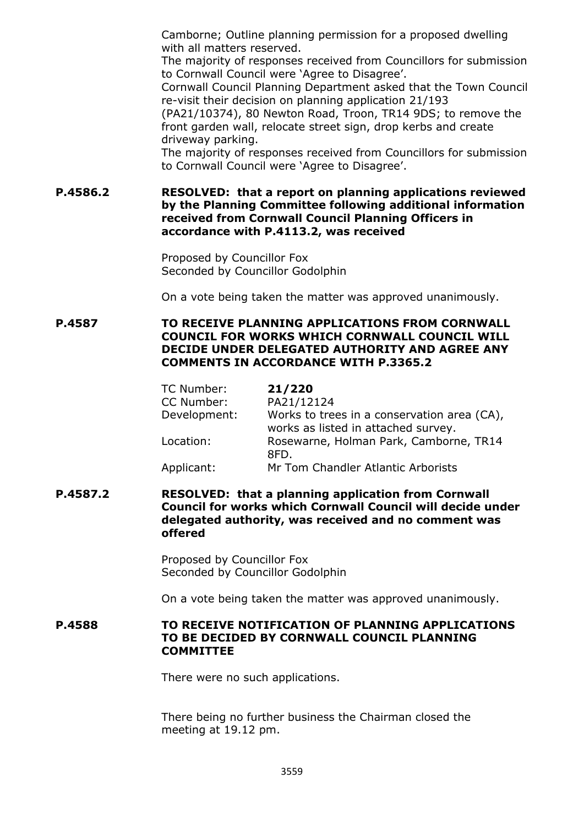Camborne; Outline planning permission for a proposed dwelling with all matters reserved.

The majority of responses received from Councillors for submission to Cornwall Council were 'Agree to Disagree'.

Cornwall Council Planning Department asked that the Town Council re-visit their decision on planning application 21/193

(PA21/10374), 80 Newton Road, Troon, TR14 9DS; to remove the front garden wall, relocate street sign, drop kerbs and create driveway parking.

The majority of responses received from Councillors for submission to Cornwall Council were 'Agree to Disagree'.

**P.4586.2 RESOLVED: that a report on planning applications reviewed by the Planning Committee following additional information received from Cornwall Council Planning Officers in accordance with P.4113.2, was received**

> Proposed by Councillor Fox Seconded by Councillor Godolphin

On a vote being taken the matter was approved unanimously.

**P.4587 TO RECEIVE PLANNING APPLICATIONS FROM CORNWALL COUNCIL FOR WORKS WHICH CORNWALL COUNCIL WILL DECIDE UNDER DELEGATED AUTHORITY AND AGREE ANY COMMENTS IN ACCORDANCE WITH P.3365.2**

| TC Number:   | 21/220                                                                             |
|--------------|------------------------------------------------------------------------------------|
| CC Number:   | PA21/12124                                                                         |
| Development: | Works to trees in a conservation area (CA),<br>works as listed in attached survey. |
| Location:    | Rosewarne, Holman Park, Camborne, TR14<br>8FD.                                     |
| Applicant:   | Mr Tom Chandler Atlantic Arborists                                                 |

**P.4587.2 RESOLVED: that a planning application from Cornwall Council for works which Cornwall Council will decide under delegated authority, was received and no comment was offered**

> Proposed by Councillor Fox Seconded by Councillor Godolphin

On a vote being taken the matter was approved unanimously.

## **P.4588 TO RECEIVE NOTIFICATION OF PLANNING APPLICATIONS TO BE DECIDED BY CORNWALL COUNCIL PLANNING COMMITTEE**

There were no such applications.

There being no further business the Chairman closed the meeting at 19.12 pm.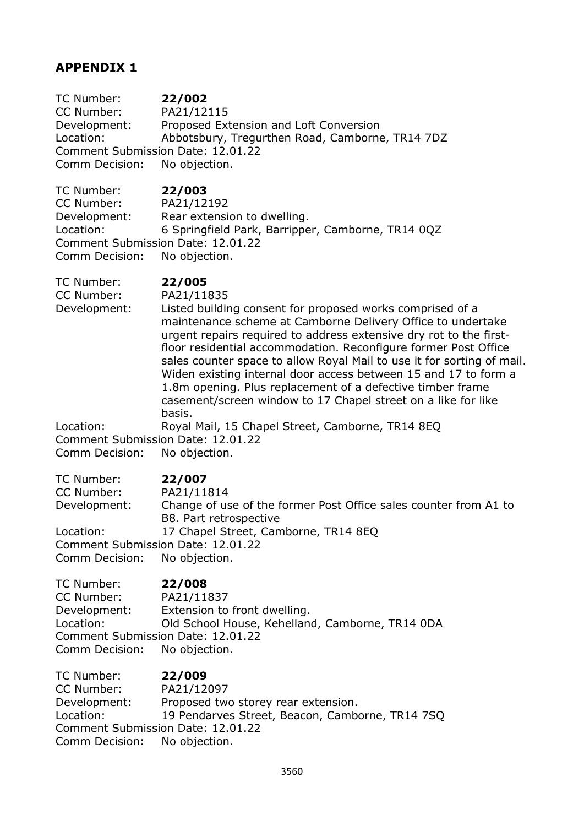# **APPENDIX 1**

TC Number: **22/002**  CC Number: PA21/12115 Development: Proposed Extension and Loft Conversion Location: Abbotsbury, Tregurthen Road, Camborne, TR14 7DZ Comment Submission Date: 12.01.22 Comm Decision: No objection.

TC Number: **22/003**  CC Number: PA21/12192 Development: Rear extension to dwelling. Location: 6 Springfield Park, Barripper, Camborne, TR14 0QZ Comment Submission Date: 12.01.22 Comm Decision: No objection.

TC Number: **22/005** 

CC Number: PA21/11835

Development: Listed building consent for proposed works comprised of a maintenance scheme at Camborne Delivery Office to undertake urgent repairs required to address extensive dry rot to the firstfloor residential accommodation. Reconfigure former Post Office sales counter space to allow Royal Mail to use it for sorting of mail. Widen existing internal door access between 15 and 17 to form a 1.8m opening. Plus replacement of a defective timber frame casement/screen window to 17 Chapel street on a like for like basis.

Location: Royal Mail, 15 Chapel Street, Camborne, TR14 8EQ Comment Submission Date: 12.01.22 Comm Decision: No objection.

TC Number: **22/007**  CC Number: PA21/11814 Development: Change of use of the former Post Office sales counter from A1 to B8. Part retrospective Location: 17 Chapel Street, Camborne, TR14 8EQ Comment Submission Date: 12.01.22 Comm Decision: No objection.

TC Number: **22/008**  CC Number: PA21/11837 Development: Extension to front dwelling. Location: Old School House, Kehelland, Camborne, TR14 0DA Comment Submission Date: 12.01.22 Comm Decision: No objection.

TC Number: **22/009**  CC Number: PA21/12097 Development: Proposed two storey rear extension. Location: 19 Pendarves Street, Beacon, Camborne, TR14 7SQ Comment Submission Date: 12.01.22 Comm Decision: No objection.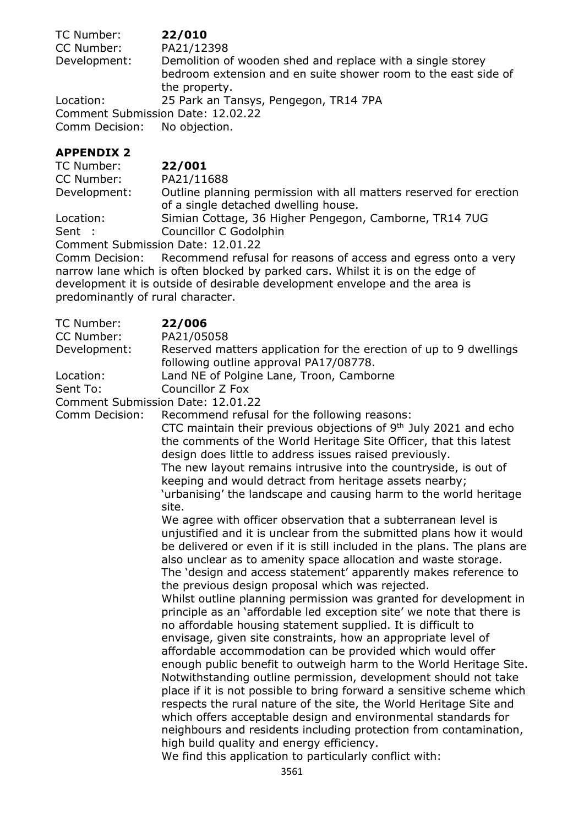| TC Number:                        | 22/010                                                                                                                                        |
|-----------------------------------|-----------------------------------------------------------------------------------------------------------------------------------------------|
| CC Number:                        | PA21/12398                                                                                                                                    |
| Development:                      | Demolition of wooden shed and replace with a single storey<br>bedroom extension and en suite shower room to the east side of<br>the property. |
| Location:                         | 25 Park an Tansys, Pengegon, TR14 7PA                                                                                                         |
| Comment Submission Date: 12.02.22 |                                                                                                                                               |
| Comm Decision: No objection.      |                                                                                                                                               |

## **APPENDIX 2**

| 22/001                                                                                                     |
|------------------------------------------------------------------------------------------------------------|
| PA21/11688                                                                                                 |
| Outline planning permission with all matters reserved for erection<br>of a single detached dwelling house. |
| Simian Cottage, 36 Higher Pengegon, Camborne, TR14 7UG                                                     |
| Councillor C Godolphin                                                                                     |
|                                                                                                            |

Comment Submission Date: 12.01.22

Comm Decision: Recommend refusal for reasons of access and egress onto a very narrow lane which is often blocked by parked cars. Whilst it is on the edge of development it is outside of desirable development envelope and the area is predominantly of rural character.

TC Number: **22/006**  CC Number: PA21/05058 Development: Reserved matters application for the erection of up to 9 dwellings following outline approval PA17/08778. Location: Land NE of Polgine Lane, Troon, Camborne Sent To: Councillor Z Fox Comment Submission Date: 12.01.22 Comm Decision: Recommend refusal for the following reasons: CTC maintain their previous objections of  $9<sup>th</sup>$  July 2021 and echo the comments of the World Heritage Site Officer, that this latest design does little to address issues raised previously. The new layout remains intrusive into the countryside, is out of keeping and would detract from heritage assets nearby; 'urbanising' the landscape and causing harm to the world heritage site. We agree with officer observation that a subterranean level is unjustified and it is unclear from the submitted plans how it would be delivered or even if it is still included in the plans. The plans are also unclear as to amenity space allocation and waste storage. The 'design and access statement' apparently makes reference to the previous design proposal which was rejected. Whilst outline planning permission was granted for development in principle as an 'affordable led exception site' we note that there is no affordable housing statement supplied. It is difficult to envisage, given site constraints, how an appropriate level of affordable accommodation can be provided which would offer enough public benefit to outweigh harm to the World Heritage Site. Notwithstanding outline permission, development should not take place if it is not possible to bring forward a sensitive scheme which respects the rural nature of the site, the World Heritage Site and which offers acceptable design and environmental standards for neighbours and residents including protection from contamination, high build quality and energy efficiency. We find this application to particularly conflict with: